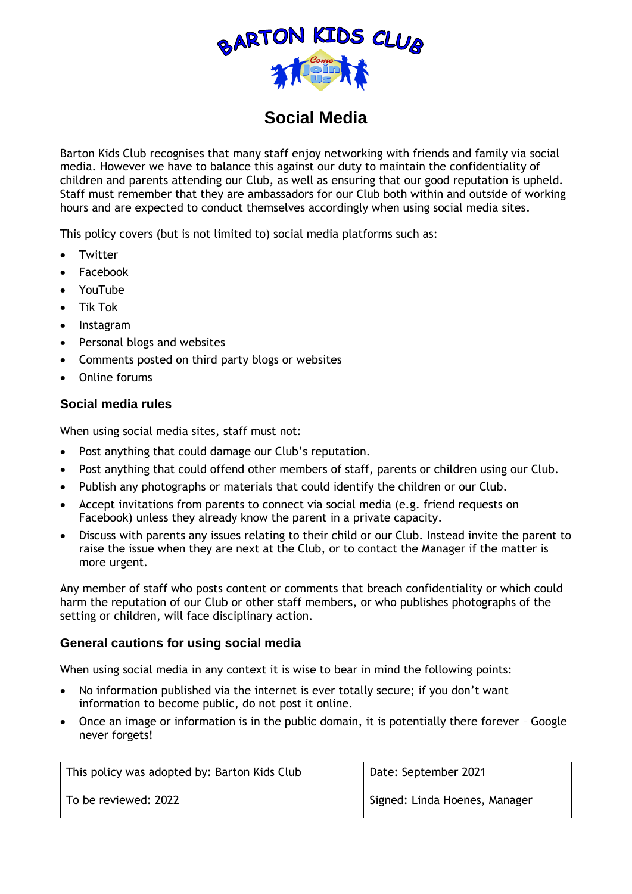

## **Social Media**

Barton Kids Club recognises that many staff enjoy networking with friends and family via social media. However we have to balance this against our duty to maintain the confidentiality of children and parents attending our Club, as well as ensuring that our good reputation is upheld. Staff must remember that they are ambassadors for our Club both within and outside of working hours and are expected to conduct themselves accordingly when using social media sites.

This policy covers (but is not limited to) social media platforms such as:

- Twitter
- Facebook
- YouTube
- Tik Tok
- Instagram
- Personal blogs and websites
- Comments posted on third party blogs or websites
- Online forums

## **Social media rules**

When using social media sites, staff must not:

- Post anything that could damage our Club's reputation.
- Post anything that could offend other members of staff, parents or children using our Club.
- Publish any photographs or materials that could identify the children or our Club.
- Accept invitations from parents to connect via social media (e.g. friend requests on Facebook) unless they already know the parent in a private capacity.
- Discuss with parents any issues relating to their child or our Club. Instead invite the parent to raise the issue when they are next at the Club, or to contact the Manager if the matter is more urgent.

Any member of staff who posts content or comments that breach confidentiality or which could harm the reputation of our Club or other staff members, or who publishes photographs of the setting or children, will face disciplinary action.

## **General cautions for using social media**

When using social media in any context it is wise to bear in mind the following points:

- No information published via the internet is ever totally secure; if you don't want information to become public, do not post it online.
- Once an image or information is in the public domain, it is potentially there forever Google never forgets!

| This policy was adopted by: Barton Kids Club | Date: September 2021          |
|----------------------------------------------|-------------------------------|
| To be reviewed: 2022                         | Signed: Linda Hoenes, Manager |